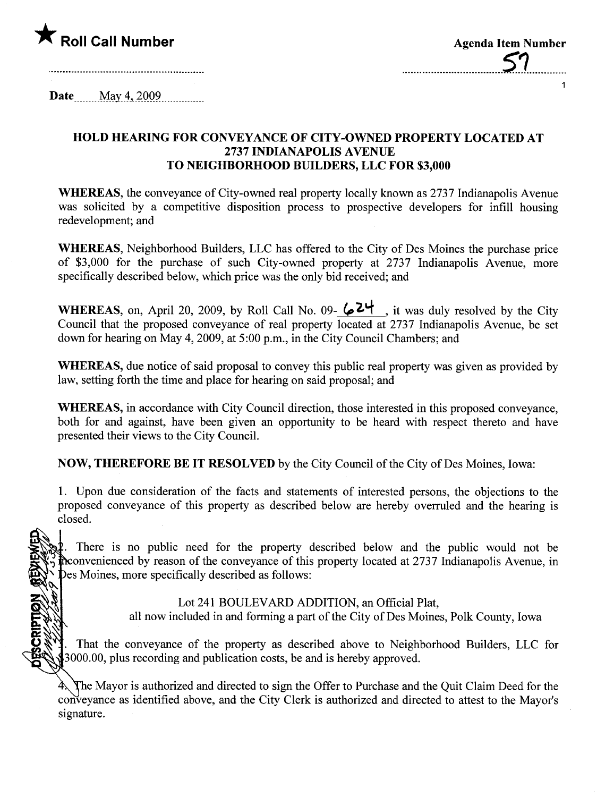DESCRIPTION SEP

 $\overline{1}$ 

Date  $\text{May } 4, 2009$ 

## HOLD HEARING FOR CONVEYANCE OF CITY -OWNED PROPERTY LOCATED AT 2737 INDIANAPOLIS AVENUE TO NEIGHBORHOOD BUILDERS, LLC FOR \$3,000

WHEREAS, the conveyance of City-owned real property locally known as 2737 Indianapolis Avenue was solicited by a competitive disposition process to prospective developers for infill housing redevelopment; and

WHEREAS, Neighborhood Builders, LLC has offered to the City of Des Moines the purchase price of \$3,000 for the purchase of such City-owned property at 2737 Indianapolis Avenue, more specifically described below, which price was the only bid received; and

WHEREAS, on, April 20, 2009, by Roll Call No. 09-  $624$ , it was duly resolved by the City Council that the proposed conveyance of real property located at 2737 Indianapolis Avenue, be set down for hearing on May 4, 2009, at 5:00 p.m., in the City Council Chambers; and

WHEREAS, due notice of said proposal to convey this public real property was given as provided by law, setting forth the time and place for hearing on said proposal; and

WHEREAS, in accordance with City Council direction, those interested in this proposed conveyance, both for and against, have been given an opportunity to be heard with respect thereto and have presented their views to the City CounciL.

NOW, THEREFORE BE IT RESOLVED by the City Council of the City of Des Moines, Iowa:

1. Upon due consideration of the facts and statements of interested persons, the objections to the proposed conveyance of this property as described below are hereby overruled and the hearing is closed.

. There is no public need for the property described below and the public would not be Preconvenienced by reason of the conveyance of this property located at 2737 Indianapolis Avenue, in bes Moines, more specifically described as follows:

> Lot 241 BOULEVARD ADDITION, an Official Plat, all now included in and forming a part of the City of Des Moines, Polk County, Iowa

That the conveyance of the property as described above to Neighborhood Builders, LLC for 3000.00, plus recording and publication costs, be and is hereby approved.

A. The Mayor is authorized and directed to sign the Offer to Purchase and the Quit Claim Deed for the conveyance as identified above, and the City Clerk is authorized and directed to attest to the Mayor's signature.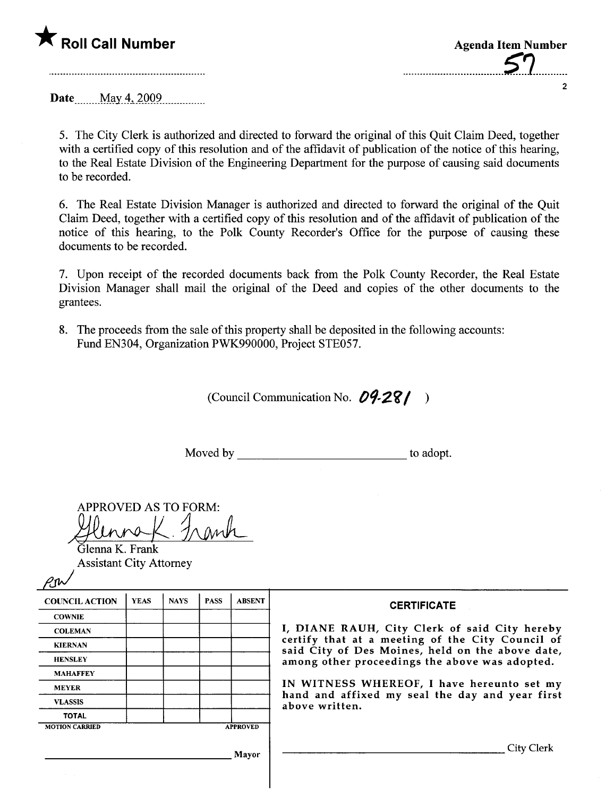

| <b>Agenda Item Number</b> |  |
|---------------------------|--|
|                           |  |
|                           |  |

Date \_\_\_\_ May 4, 2009

5. The City Clerk is authorized and directed to forward the original of this Quit Claim Deed, together with a certified copy of this resolution and of the affidavit of publication of the notice of this hearing, to the Real Estate Division of the Engineering Deparment for the purpose of causing said documents to be recorded.

6. The Real Estate Division Manager is authorized and directed to forward the original of the Quit Claim Deed, together with a certified copy of this resolution and of the affdavit of publication of the notice of this hearing, to the Polk County Recorder's Office for the purpose of causing these documents to be recorded.

7. Upon receipt of the recorded documents back from the Polk County Recorder, the Real Estate Division Manager shall mail the original of the Deed and copies of the other documents to the grantees.

8. The proceeds from the sale of this property shall be deposited in the following accounts: Fund EN304, Organization PWK990000, Project STE057.

(Council Communication No.  $09.281$ )

Moved by to adopt.

APPROVED AS TO FORM:

Glenna K. Fran Assistant City Attorney

 $\rho_{\rm n}$ 

| - ب                   |             |             |             |                                                                   |                                                                                                      |  |
|-----------------------|-------------|-------------|-------------|-------------------------------------------------------------------|------------------------------------------------------------------------------------------------------|--|
| <b>COUNCIL ACTION</b> | <b>YEAS</b> | <b>NAYS</b> | <b>PASS</b> | <b>ABSENT</b>                                                     | <b>CERTIFICATE</b>                                                                                   |  |
| <b>COWNIE</b>         |             |             |             |                                                                   |                                                                                                      |  |
| <b>COLEMAN</b>        |             |             |             |                                                                   | I, DIANE RAUH, City Clerk of said City hereby                                                        |  |
| <b>KIERNAN</b>        |             |             |             |                                                                   | certify that at a meeting of the City Council of<br>said City of Des Moines, held on the above date, |  |
| <b>HENSLEY</b>        |             |             |             |                                                                   | among other proceedings the above was adopted.                                                       |  |
| <b>MAHAFFEY</b>       |             |             |             |                                                                   | IN WITNESS WHEREOF, I have hereunto set my                                                           |  |
| <b>MEYER</b>          |             |             |             |                                                                   |                                                                                                      |  |
| <b>VLASSIS</b>        |             |             |             | hand and affixed my seal the day and year first<br>above written. |                                                                                                      |  |
| <b>TOTAL</b>          |             |             |             |                                                                   |                                                                                                      |  |
| <b>MOTION CARRIED</b> |             |             |             | <b>APPROVED</b>                                                   |                                                                                                      |  |
|                       |             |             |             | Mayor                                                             | City Clerk                                                                                           |  |